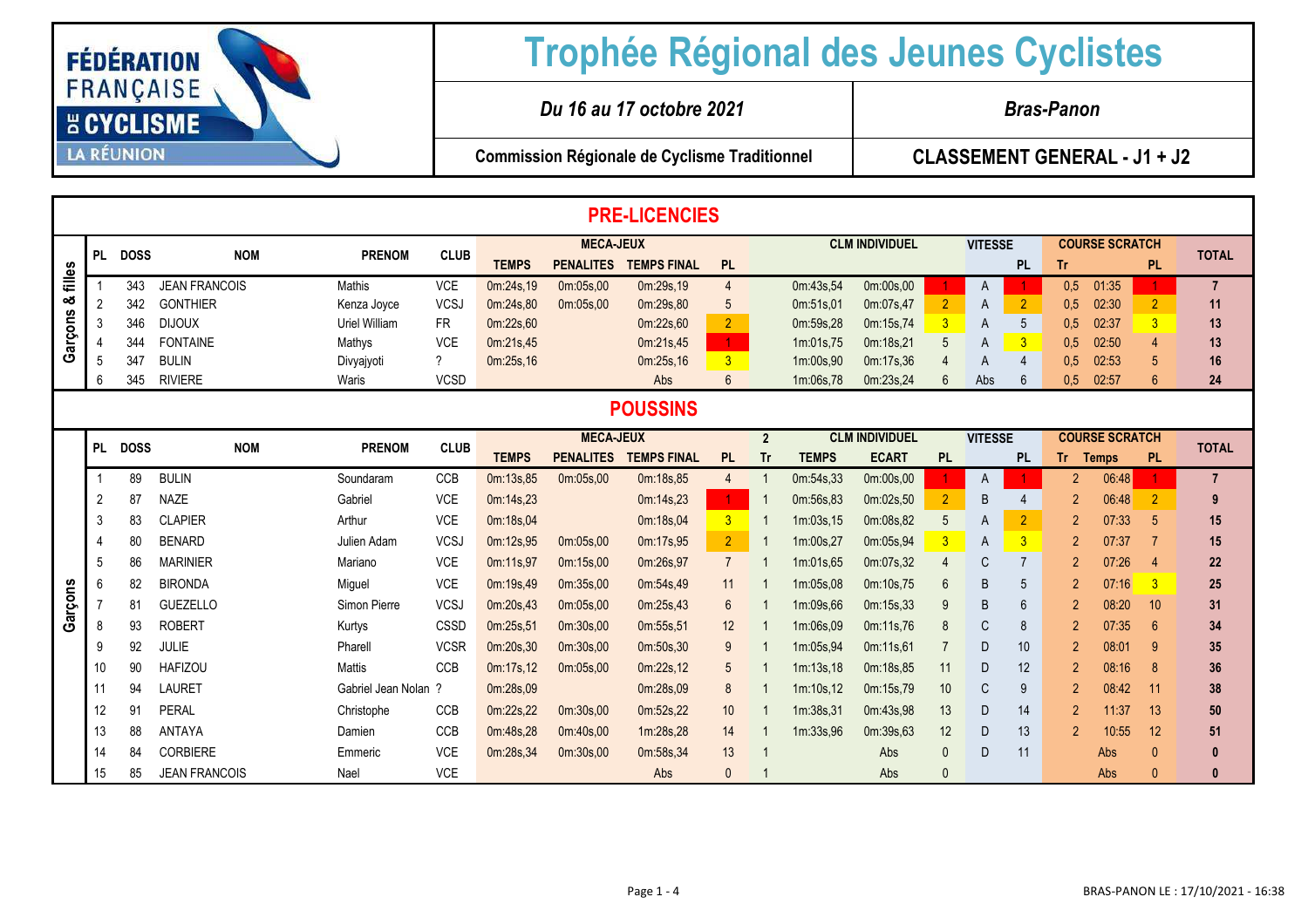

## **Trophée Régional des Jeunes Cyclistes**

*Du 16 au 17 octobre 2021 Bras-Panon*

**Commission Régionale de Cyclisme Traditionnel**

**CLASSEMENT GENERAL - J1 + J2** 

|                 | <b>PRE-LICENCIES</b> |             |                      |                      |             |              |                  |                    |                      |                |                       |                       |                |                |                         |                       |                       |                 |                |
|-----------------|----------------------|-------------|----------------------|----------------------|-------------|--------------|------------------|--------------------|----------------------|----------------|-----------------------|-----------------------|----------------|----------------|-------------------------|-----------------------|-----------------------|-----------------|----------------|
|                 | <b>PL</b>            | <b>DOSS</b> | <b>NOM</b>           | <b>PRENOM</b>        | <b>CLUB</b> |              | <b>MECA-JEUX</b> |                    |                      |                | <b>CLM INDIVIDUEL</b> |                       |                | <b>VITESSE</b> |                         | <b>COURSE SCRATCH</b> |                       |                 | <b>TOTAL</b>   |
| filles          |                      |             |                      |                      |             | <b>TEMPS</b> | <b>PENALITES</b> | <b>TEMPS FINAL</b> | <b>PL</b>            |                |                       |                       |                |                | <b>PL</b>               | Tr                    |                       | <b>PL</b>       |                |
|                 |                      | 343         | <b>JEAN FRANCOIS</b> | Mathis               | <b>VCE</b>  | 0m:24s,19    | 0m:05s,00        | 0m:29s.19          | $\overline{4}$       |                | 0m:43s,54             | 0m:00s,00             |                | A              |                         | 0.5                   | 01:35                 |                 | $\overline{7}$ |
| య               | 2                    | 342         | <b>GONTHIER</b>      | Kenza Joyce          | <b>VCSJ</b> | 0m:24s.80    | 0m:05s.00        | 0m:29s.80          | 5                    |                | 0m:51s,01             | 0m:07s.47             | $\overline{2}$ | A              | $\overline{2}$          | 0.5                   | 02:30                 | $\overline{2}$  | 11             |
| Garçons         | 3                    | 346         | <b>DIJOUX</b>        | Uriel William        | <b>FR</b>   | 0m:22s,60    |                  | 0m:22s,60          | 2 <sup>1</sup>       |                | 0m:59s,28             | 0m:15s,74             | $\overline{3}$ | A              | 5                       | 0.5                   | 02:37                 | $\overline{3}$  | 13             |
|                 |                      | 344         | <b>FONTAINE</b>      | Mathys               | <b>VCE</b>  | 0m:21s,45    |                  | 0m:21s,45          | $\mathbf{1}$         |                | 1m:01s,75             | 0m:18s,21             | 5              | A              | $\overline{3}$          | 0.5                   | 02:50                 | 4               | 13             |
|                 | 5                    | 347         | <b>BULIN</b>         | Divyajyoti           | $\gamma$    | 0m:25s,16    |                  | 0m:25s,16          | 3 <sup>2</sup>       |                | 1m:00s,90             | 0m:17s,36             |                | A              | 4                       | 0.5                   | 02:53                 | 5               | 16             |
|                 | 6                    | 345         | <b>RIVIERE</b>       | Waris                | <b>VCSD</b> |              |                  | Abs                | $6\overline{6}$      |                | 1m:06s,78             | 0m:23s,24             | 6              | Abs            | 6                       | 0.5                   | 02:57                 | $6\overline{6}$ | 24             |
| <b>POUSSINS</b> |                      |             |                      |                      |             |              |                  |                    |                      |                |                       |                       |                |                |                         |                       |                       |                 |                |
|                 | <b>PL</b>            | <b>DOSS</b> | <b>NOM</b>           | <b>PRENOM</b>        | <b>CLUB</b> |              | <b>MECA-JEUX</b> |                    |                      | $\overline{2}$ |                       | <b>CLM INDIVIDUEL</b> |                | <b>VITESSE</b> |                         |                       | <b>COURSE SCRATCH</b> |                 | <b>TOTAL</b>   |
|                 |                      |             |                      |                      |             | <b>TEMPS</b> | <b>PENALITES</b> | <b>TEMPS FINAL</b> | PL                   | <b>Tr</b>      | <b>TEMPS</b>          | <b>ECART</b>          | <b>PL</b>      |                | <b>PL</b>               | Tr.                   | <b>Temps</b>          | <b>PL</b>       |                |
|                 |                      | 89          | <b>BULIN</b>         | Soundaram            | <b>CCB</b>  | 0m:13s,85    | 0m:05s,00        | 0m:18s,85          | $\overline{4}$       |                | 0m:54s,33             | 0m:00s,00             |                | A              |                         | $\mathfrak{p}$        | 06:48                 |                 | $\overline{7}$ |
|                 | 2                    | 87          | <b>NAZE</b>          | Gabriel              | <b>VCE</b>  | 0m:14s,23    |                  | 0m:14s,23          | $\blacktriangleleft$ |                | 0m:56s,83             | 0m:02s,50             | $\overline{2}$ | B              |                         | $\mathfrak{p}$        | 06:48                 | $\overline{2}$  | 9              |
|                 | 3                    | 83          | <b>CLAPIER</b>       | Arthur               | <b>VCE</b>  | 0m:18s,04    |                  | 0m:18s,04          | 3 <sup>1</sup>       |                | 1m:03s.15             | 0m:08s,82             | 5              | A              | $\overline{2}$          | $\mathfrak{p}$        | 07:33                 | -5              | 15             |
|                 |                      | 80          | <b>BENARD</b>        | Julien Adam          | <b>VCSJ</b> | 0m:12s,95    | 0m:05s,00        | 0m:17s,95          | $\overline{2}$       |                | 1m:00s,27             | 0m:05s,94             | $\overline{3}$ | A              | $\overline{\mathbf{3}}$ | $\mathfrak{p}$        | 07:37                 | -7              | 15             |
|                 | 5                    | 86          | <b>MARINIER</b>      | Mariano              | <b>VCE</b>  | 0m:11s,97    | 0m:15s,00        | 0m:26s,97          | $\overline{7}$       |                | 1m:01s.65             | 0m:07s,32             | $\overline{4}$ | C              | $\overline{7}$          | $\mathfrak{p}$        | 07:26                 | $\overline{4}$  | 22             |
|                 | 6                    | 82          | <b>BIRONDA</b>       | Miguel               | <b>VCE</b>  | 0m:19s,49    | 0m:35s,00        | 0m:54s,49          | 11                   |                | 1m:05s,08             | 0m:10s,75             | 6              | B              | 5                       | 2                     | 07:16                 | $\overline{3}$  | 25             |
| Garçons         |                      | 81          | <b>GUEZELLO</b>      | Simon Pierre         | <b>VCSJ</b> | 0m:20s,43    | 0m:05s,00        | 0m:25s,43          | $6\overline{6}$      |                | 1m:09s,66             | 0m:15s,33             | 9              | B              | 6                       | 2                     | 08:20                 | 10              | 31             |
|                 | 8                    | 93          | <b>ROBERT</b>        | Kurtys               | CSSD        | 0m:25s,51    | 0m:30s,00        | 0m:55s,51          | 12                   |                | 1m:06s,09             | 0m:11s,76             | 8              | C              | 8                       | $\mathfrak{p}$        | 07:35                 | 6               | 34             |
|                 | 9                    | 92          | <b>JULIE</b>         | Pharell              | <b>VCSR</b> | 0m:20s,30    | 0m:30s,00        | 0m:50s,30          | 9                    |                | 1m:05s,94             | 0m:11s,61             | -7             | D              | 10                      | 2                     | 08:01                 | -9              | 35             |
|                 | 10                   | 90          | <b>HAFIZOU</b>       | <b>Mattis</b>        | <b>CCB</b>  | 0m:17s,12    | 0m:05s,00        | 0m:22s,12          | 5                    |                | 1m:13s.18             | 0m:18s,85             | 11             | D              | 12                      | 2                     | 08:16                 | -8              | 36             |
|                 | 11                   | 94          | <b>LAURET</b>        | Gabriel Jean Nolan ? |             | 0m:28s,09    |                  | 0m:28s.09          | 8                    |                | 1m:10s,12             | 0m:15s,79             | 10             | C              | 9                       | $\overline{2}$        | 08:42                 | 11              | 38             |
|                 | 12                   | 91          | <b>PERAL</b>         | Christophe           | <b>CCB</b>  | 0m:22s,22    | 0m:30s,00        | 0m:52s,22          | 10 <sup>°</sup>      |                | 1m:38s,31             | 0m:43s,98             | 13             | D              | 14                      | 2                     | 11:37                 | 13              | 50             |
|                 | 13                   | 88          | <b>ANTAYA</b>        | Damien               | <b>CCB</b>  | 0m:48s,28    | 0m:40s,00        | 1m:28s.28          | 14                   |                | 1m:33s,96             | 0m:39s,63             | 12             | D              | 13                      | $\mathfrak{p}$        | 10:55                 | 12              | 51             |
|                 | 14                   | 84          | <b>CORBIERE</b>      | Emmeric              | <b>VCE</b>  | 0m:28s,34    | 0m:30s,00        | 0m:58s,34          | 13                   |                |                       | Abs                   | $\mathbf{0}$   | D              | 11                      |                       | Abs                   | $\sqrt{ }$      | 0              |
|                 | 15                   | 85          | <b>JEAN FRANCOIS</b> | Nael                 | <b>VCE</b>  |              |                  | Abs                | $\mathbf{0}$         |                |                       | Abs                   | $\Omega$       |                |                         |                       | Abs                   | $\Omega$        |                |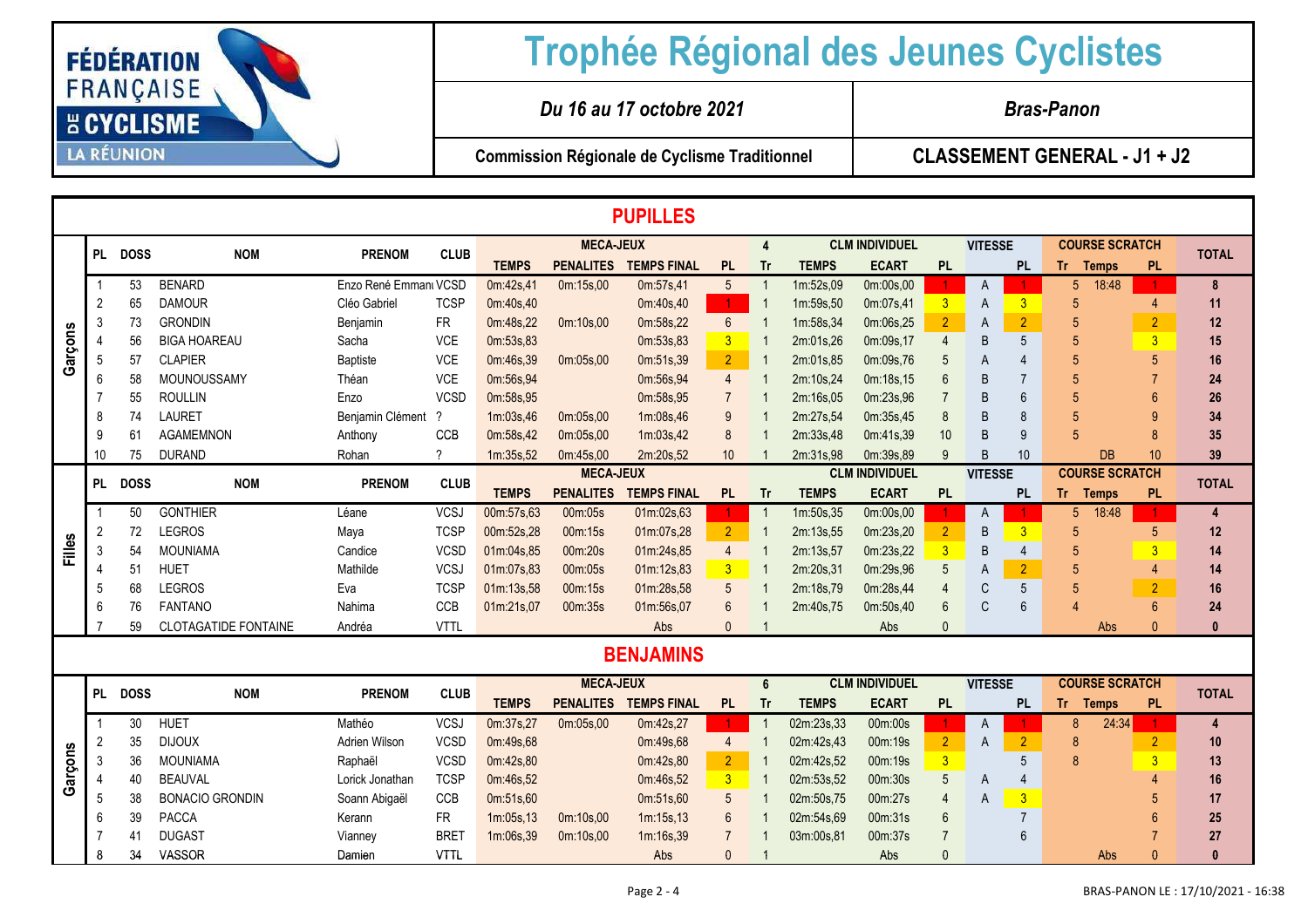

|         | <b>PUPILLES</b> |         |                             |                       |               |                  |                  |                    |                         |                |              |                       |                         |                |                         |                       |                 |              |
|---------|-----------------|---------|-----------------------------|-----------------------|---------------|------------------|------------------|--------------------|-------------------------|----------------|--------------|-----------------------|-------------------------|----------------|-------------------------|-----------------------|-----------------|--------------|
|         |                 |         |                             |                       |               |                  | <b>MECA-JEUX</b> |                    |                         | 4              |              | <b>CLM INDIVIDUEL</b> |                         | <b>VITESSE</b> |                         | <b>COURSE SCRATCH</b> |                 |              |
|         |                 | PL DOSS | <b>NOM</b>                  | <b>PRENOM</b>         | <b>CLUB</b>   | <b>TEMPS</b>     | <b>PENALITES</b> | <b>TEMPS FINAL</b> | <b>PL</b>               | <b>Tr</b>      | <b>TEMPS</b> | <b>ECART</b>          | <b>PL</b>               |                | <b>PL</b>               | Tr.<br><b>Temps</b>   | <b>PL</b>       | <b>TOTAL</b> |
|         |                 | 53      | <b>BENARD</b>               | Enzo René Emmanı VCSD |               | 0m:42s,41        | 0m:15s,00        | 0m:57s,41          | $5\overline{)}$         | -1             | 1m:52s,09    | 0m:00s,00             |                         | A              |                         | 18:48<br>5            |                 | 8            |
| Garçons | $\overline{2}$  | 65      | <b>DAMOUR</b>               | Cléo Gabriel          | <b>TCSP</b>   | 0m:40s,40        |                  | 0m:40s,40          | $\bullet$               |                | 1m:59s,50    | 0m:07s,41             | 3                       | A              | 3                       | 5                     |                 | 11           |
|         | 3               | 73      | <b>GRONDIN</b>              | Benjamin              | <b>FR</b>     | 0m:48s,22        | 0m:10s,00        | 0m:58s,22          | $6\overline{6}$         |                | 1m:58s,34    | 0m:06s,25             | $\overline{2}$          | A              | $\overline{2}$          |                       | $\overline{2}$  | 12           |
|         |                 | 56      | <b>BIGA HOAREAU</b>         | Sacha                 | <b>VCE</b>    | 0m:53s,83        |                  | 0m:53s,83          | $\overline{\mathbf{3}}$ |                | 2m:01s,26    | 0m:09s,17             | 4                       | B              | 5                       |                       | $\overline{3}$  | 15           |
|         | 5               | 57      | <b>CLAPIER</b>              | <b>Baptiste</b>       | VCE           | 0m:46s,39        | 0m:05s,00        | 0m:51s,39          | $\overline{2}$          |                | 2m:01s,85    | 0m:09s,76             |                         | Α              |                         |                       |                 | 16           |
|         |                 | 58      | MOUNOUSSAMY                 | Théan                 | <b>VCE</b>    | 0m:56s,94        |                  | 0m:56s,94          | $\overline{4}$          |                | 2m:10s,24    | 0m:18s,15             |                         | B              |                         |                       |                 | 24           |
|         |                 | 55      | <b>ROULLIN</b>              | Enzo                  | <b>VCSD</b>   | 0m:58s,95        |                  | 0m:58s,95          | $\overline{7}$          |                | 2m:16s,05    | 0m:23s,96             |                         | B              | 6                       | 5                     |                 | 26           |
|         | 8               | 74      | <b>LAURET</b>               | Benjamin Clément      | $\gamma$      | 1m:03s,46        | 0m:05s,00        | 1m:08s,46          | 9                       |                | 2m:27s,54    | 0m:35s,45             | 8                       | B              | 8                       |                       |                 | 34           |
|         | 9               | 61      | <b>AGAMEMNON</b>            | Anthony               | CCB           | 0m:58s,42        | 0m:05s,00        | 1m:03s,42          | 8                       |                | 2m:33s,48    | 0m:41s,39             | 10                      | B              | 9                       |                       |                 | 35           |
|         | 10              | 75      | <b>DURAND</b>               | Rohan                 | ?             | 1m:35s,52        | 0m:45s,00        | 2m:20s,52          | 10                      |                | 2m:31s,98    | 0m:39s,89             |                         | B              | 10                      | <b>DB</b>             | 10 <sup>1</sup> | 39           |
|         | PL DOSS         |         | <b>NOM</b>                  | <b>PRENOM</b>         | <b>CLUB</b>   | <b>MECA-JEUX</b> |                  |                    |                         |                |              | <b>CLM INDIVIDUEL</b> |                         | <b>VITESSE</b> |                         | <b>COURSE SCRATCH</b> |                 | <b>TOTAL</b> |
|         |                 |         |                             |                       |               | <b>TEMPS</b>     | <b>PENALITES</b> | <b>TEMPS FINAL</b> | <b>PL</b>               | Tr             | <b>TEMPS</b> | <b>ECART</b>          | <b>PL</b>               |                | <b>PL</b>               | Tr.<br><b>Temps</b>   | <b>PL</b>       |              |
|         |                 | 50      | <b>GONTHIER</b>             | Léane                 | <b>VCSJ</b>   | 00m:57s,63       | 00m:05s          | 01m:02s,63         |                         | $\overline{1}$ | 1m:50s,35    | 0m:00s,00             |                         | A              |                         | 18:48<br>5            |                 | 4            |
|         | 2               | 72      | <b>LEGROS</b>               | Maya                  | <b>TCSP</b>   | 00m:52s,28       | 00m:15s          | 01m:07s,28         | 2 <sup>1</sup>          | $\overline{1}$ | 2m:13s,55    | 0m:23s,20             | $\overline{2}$          | B              | $\overline{3}$          | 5                     | 5               | 12           |
| Filles  | -3              | 54      | <b>MOUNIAMA</b>             | Candice               | <b>VCSD</b>   | 01m:04s,85       | 00m:20s          | 01m:24s,85         | $\overline{4}$          |                | 2m:13s,57    | 0m:23s,22             | $\overline{3}$          | B              | $\overline{4}$          |                       | $\overline{3}$  | 14           |
|         |                 | 51      | <b>HUET</b>                 | Mathilde              | <b>VCSJ</b>   | 01m:07s,83       | 00m:05s          | 01m:12s,83         | 3 <sub>o</sub>          |                | 2m:20s,31    | 0m:29s,96             | 5                       | А              | $\overline{2}$          | 5                     |                 | 14           |
|         | 5               | 68      | <b>LEGROS</b>               | Eva                   | <b>TCSP</b>   | 01m:13s,58       | 00m:15s          | 01m:28s,58         | 5                       |                | 2m:18s,79    | 0m:28s,44             |                         | C              | 5                       |                       | $\overline{2}$  | 16           |
|         | 6               | 76      | <b>FANTANO</b>              | Nahima                | CCB           | 01m:21s,07       | 00m:35s          | 01m:56s,07         | $6\phantom{1}6$         |                | 2m:40s,75    | 0m:50s,40             | 6                       | $\mathsf{C}$   | 6                       |                       |                 | 24           |
|         |                 | 59      | <b>CLOTAGATIDE FONTAINE</b> | Andréa                | <b>VTTL</b>   |                  |                  | Abs                | $\Omega$                |                |              | Abs                   |                         |                |                         | Abs                   |                 | $\Omega$     |
|         |                 |         |                             |                       |               |                  |                  | <b>BENJAMINS</b>   |                         |                |              |                       |                         |                |                         |                       |                 |              |
|         |                 |         |                             |                       |               |                  | <b>MECA-JEUX</b> |                    |                         | 6              |              | <b>CLM INDIVIDUEL</b> |                         | <b>VITESSE</b> |                         | <b>COURSE SCRATCH</b> |                 |              |
|         |                 | PL DOSS | <b>NOM</b>                  | <b>PRENOM</b>         | <b>CLUB</b>   | <b>TEMPS</b>     | <b>PENALITES</b> | <b>TEMPS FINAL</b> | <b>PL</b>               | <b>Tr</b>      | <b>TEMPS</b> | <b>ECART</b>          | <b>PL</b>               |                | <b>PL</b>               | Tr.<br><b>Temps</b>   | <b>PL</b>       | <b>TOTAL</b> |
|         |                 | 30      | <b>HUET</b>                 | Mathéo                | <b>VCSJ</b>   | 0m:37s,27        | 0m:05s,00        | 0m:42s,27          |                         | $\overline{1}$ | 02m:23s,33   | 00m:00s               |                         | A              |                         | 24:34<br>8            |                 | 4            |
|         | -2              | 35      | <b>DIJOUX</b>               | Adrien Wilson         | <b>VCSD</b>   | 0m:49s,68        |                  | 0m:49s,68          | $\overline{4}$          |                | 02m:42s,43   | 00m:19s               | $\overline{2}$          | A              | $\overline{2}$          | 8                     |                 | 10           |
| arçons  | 3               | 36      | <b>MOUNIAMA</b>             | Raphaël               | <b>VCSD</b>   | 0m:42s,80        |                  | 0m:42s,80          | 2 <sup>2</sup>          |                | 02m:42s,52   | 00m:19s               | $\overline{\mathbf{3}}$ |                | 5                       | 8                     |                 | 13           |
|         |                 | 40      | <b>BEAUVAL</b>              | Lorick Jonathan       | <b>TCSP</b>   | 0m:46s,52        |                  | 0m:46s,52          | $\overline{3}$          |                | 02m:53s,52   | 00m:30s               | 5                       | A              |                         |                       |                 | 16           |
| O       |                 |         |                             |                       | $\sim$ $\sim$ |                  |                  |                    |                         |                |              |                       |                         |                | <b><i>CONTINUES</i></b> |                       |                 |              |

**<sup>17</sup>**

**<sup>25</sup>**

**<sup>27</sup>**

Damien VTTL Abs <sup>0</sup> <sup>1</sup> Abs <sup>0</sup> Abs <sup>0</sup> **<sup>0</sup>**

5 38 BONACIO GRONDIN Soann Abigaël CCB 0m:51s,60 0m:51s,60 5 1 02m:50s,75 00m:27s 4 A 3 5

6 39 PACCA Kerann FR 1m:05s,13 0m:10s,00 1m:15s,13 6 1 02m:54s,69 00m:31s 6 7 6

7 41 DUGAST Vianney BRET <mark>1m:06s,39 0m:10s,00 1m:16s,39 7 1 03m:00s,81 00m:37s 7</mark> 6 7

8

<sup>34</sup> VASSOR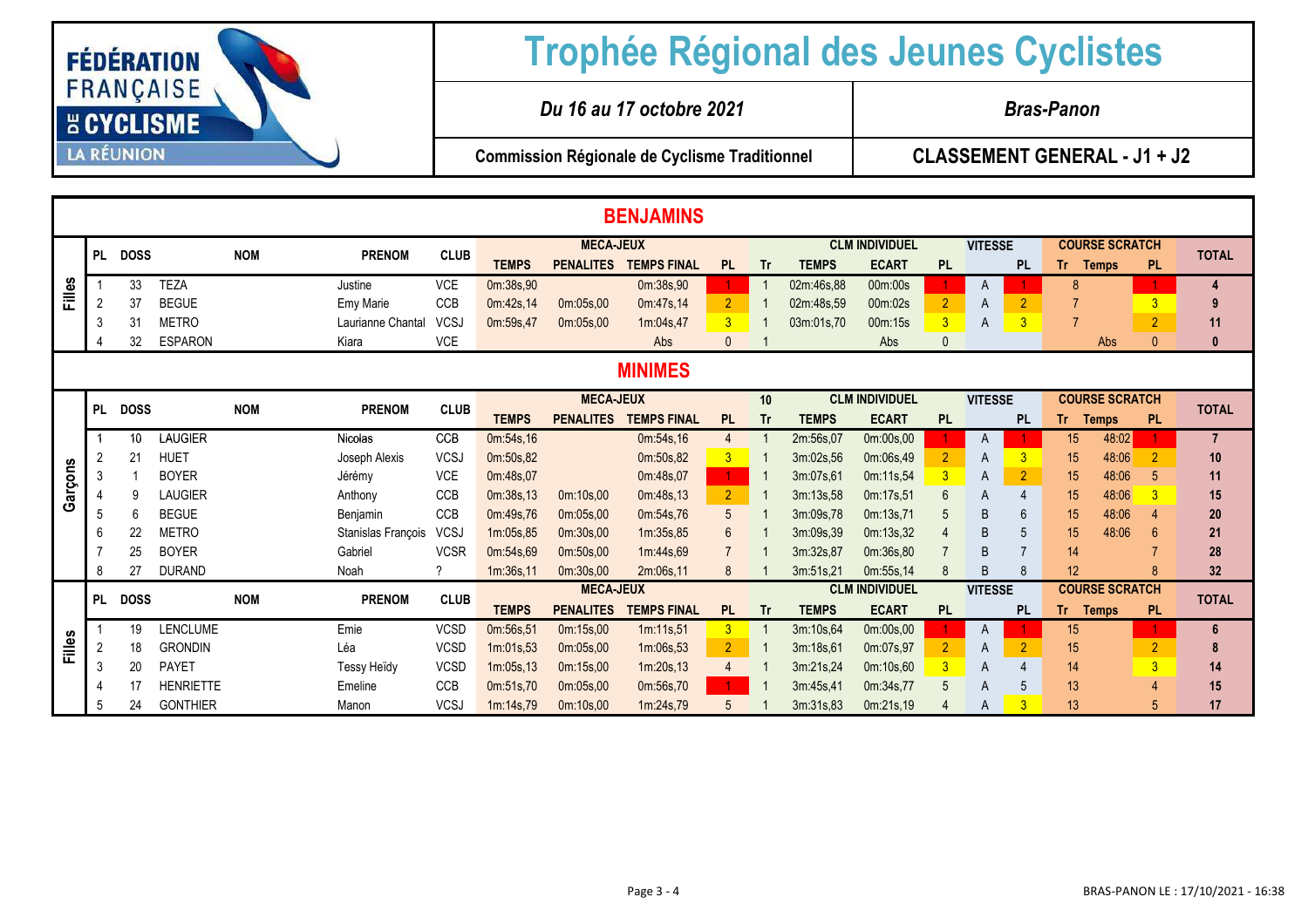

|               | <b>BENJAMINS</b> |             |                  |            |                    |             |              |                  |                    |                         |                |              |                       |                       |                |                |              |                       |                 |                |
|---------------|------------------|-------------|------------------|------------|--------------------|-------------|--------------|------------------|--------------------|-------------------------|----------------|--------------|-----------------------|-----------------------|----------------|----------------|--------------|-----------------------|-----------------|----------------|
|               | <b>PL</b>        |             |                  |            |                    |             |              |                  |                    | <b>CLM INDIVIDUEL</b>   | <b>VITESSE</b> |              |                       | <b>COURSE SCRATCH</b> |                |                | <b>TOTAL</b> |                       |                 |                |
|               |                  | <b>DOSS</b> |                  | <b>NOM</b> | <b>PRENOM</b>      | <b>CLUB</b> | <b>TEMPS</b> | <b>PENALITES</b> | <b>TEMPS FINAL</b> | <b>PL</b>               | <b>Tr</b>      | <b>TEMPS</b> | <b>ECART</b>          | <b>PL</b>             |                | <b>PL</b>      | Tr .         | <b>Temps</b>          | <b>PL</b>       |                |
| Filles        |                  | 33          | <b>TEZA</b>      |            | Justine            | <b>VCE</b>  | 0m:38s,90    |                  | 0m:38s,90          |                         |                | 02m:46s,88   | 00m:00s               |                       | A              |                |              |                       |                 |                |
|               | 2                | 37          | <b>BEGUE</b>     |            | Emy Marie          | <b>CCB</b>  | 0m:42s,14    | 0m:05s,00        | 0m:47s,14          | 2 <sup>1</sup>          |                | 02m:48s,59   | 00m:02s               | $\overline{2}$        | A              | $\overline{2}$ |              |                       | $\overline{3}$  | 9              |
|               | 3                | 31          | <b>METRO</b>     |            | Laurianne Chantal  | <b>VCSJ</b> | 0m:59s,47    | 0m:05s,00        | 1m:04s,47          | $\overline{\mathbf{3}}$ |                | 03m:01s,70   | 00m:15s               | $\overline{3}$        | A              | 3              |              |                       | $\overline{2}$  | 11             |
|               |                  | 32          | <b>ESPARON</b>   |            | Kiara              | <b>VCE</b>  |              |                  | Abs                | $\mathbf{0}$            |                |              | Abs                   |                       |                |                |              | Abs                   | $\Omega$        | $\mathbf{0}$   |
|               | <b>MINIMES</b>   |             |                  |            |                    |             |              |                  |                    |                         |                |              |                       |                       |                |                |              |                       |                 |                |
|               |                  |             |                  |            |                    |             |              | <b>MECA-JEUX</b> |                    |                         | 10             |              | <b>CLM INDIVIDUEL</b> |                       | <b>VITESSE</b> |                |              | <b>COURSE SCRATCH</b> |                 |                |
|               | <b>PL</b>        | <b>DOSS</b> |                  | <b>NOM</b> | <b>PRENOM</b>      | <b>CLUB</b> | <b>TEMPS</b> | <b>PENALITES</b> | <b>TEMPS FINAL</b> | <b>PL</b>               | <b>Tr</b>      | <b>TEMPS</b> | <b>ECART</b>          | <b>PL</b>             |                | <b>PL</b>      | Tr .         | <b>Temps</b>          | <b>PL</b>       | <b>TOTAL</b>   |
|               |                  | 10          | LAUGIER          |            | <b>Nicolas</b>     | <b>CCB</b>  | 0m:54s,16    |                  | 0m:54s,16          | $\overline{4}$          |                | 2m:56s,07    | 0m:00s,00             |                       | A              |                | 15           | 48:02                 |                 | $\overline{7}$ |
|               | 2                | 21          | <b>HUET</b>      |            | Joseph Alexis      | <b>VCSJ</b> | 0m:50s,82    |                  | 0m:50s,82          | $\overline{3}$          |                | 3m:02s,56    | 0m:06s,49             |                       | A              | 3              | 15           | 48:06                 |                 | 10             |
| Garçons       | 3                |             | <b>BOYER</b>     |            | Jérémy             | <b>VCE</b>  | 0m:48s,07    |                  | 0m:48s,07          | $\mathbf{1}$            |                | 3m:07s,61    | 0m:11s,54             |                       | A              | $\overline{2}$ | 15           | 48:06                 | 5               | 11             |
|               |                  |             | <b>LAUGIER</b>   |            | Anthony            | CCB         | 0m:38s,13    | 0m:10s,00        | 0m:48s,13          | $\overline{2}$          |                | 3m:13s,58    | 0m:17s,51             |                       | A              | $\Delta$       | 15           | 48:06                 |                 | 15             |
|               | 5                | 6           | <b>BEGUE</b>     |            | Benjamin           | <b>CCB</b>  | 0m:49s,76    | 0m:05s,00        | 0m:54s,76          | $5\overline{)}$         |                | 3m:09s,78    | 0m:13s,71             |                       | <sub>B</sub>   | 6              | 15           | 48:06                 |                 | 20             |
|               | 6                | 22          | <b>METRO</b>     |            | Stanislas François | VCSJ        | 1m:05s.85    | 0m:30s,00        | 1m:35s,85          | 6                       |                | 3m:09s.39    | 0m:13s,32             |                       | B              | 5              | 15           | 48:06                 | $6\overline{6}$ | 21             |
|               |                  | 25          | <b>BOYER</b>     |            | Gabriel            | <b>VCSR</b> | 0m:54s,69    | 0m:50s,00        | 1m:44s,69          |                         |                | 3m:32s,87    | 0m:36s,80             |                       | <sub>B</sub>   | $\overline{7}$ | 14           |                       |                 | 28             |
|               | 8                | 27          | <b>DURAND</b>    |            | Noah               | 2           | 1m:36s,11    | 0m:30s,00        | 2m:06s.11          | 8                       |                | 3m:51s,21    | 0m:55s,14             |                       | <sub>R</sub>   | R              | 12           |                       |                 | 32             |
|               | <b>PL</b>        | <b>DOSS</b> |                  | <b>NOM</b> | <b>PRENOM</b>      | <b>CLUB</b> |              | <b>MECA-JEUX</b> |                    |                         |                |              | <b>CLM INDIVIDUEL</b> |                       | <b>VITESSE</b> |                |              | <b>COURSE SCRATCH</b> |                 | <b>TOTAL</b>   |
|               |                  |             |                  |            |                    |             | <b>TEMPS</b> | <b>PENALITES</b> | <b>TEMPS FINAL</b> | <b>PL</b>               | <b>Tr</b>      | <b>TEMPS</b> | <b>ECART</b>          | <b>PL</b>             |                | <b>PL</b>      | Tr Temps     |                       | <b>PL</b>       |                |
|               |                  | 19          | LENCLUME         |            | Emie               | <b>VCSD</b> | 0m:56s,51    | 0m:15s,00        | 1m:11s,51          | 3                       |                | 3m:10s,64    | 0m:00s,00             |                       | A              |                | 15           |                       |                 | 6              |
| <b>Filles</b> | 2                | 18          | <b>GRONDIN</b>   |            | Léa                | <b>VCSD</b> | 1m:01s.53    | 0m:05s,00        | 1m:06s,53          | $\overline{2}$          |                | 3m:18s,61    | 0m:07s,97             | $\overline{2}$        | A              | $\overline{2}$ | 15           |                       | $\overline{2}$  | 8              |
|               | 3                | 20          | <b>PAYET</b>     |            | <b>Tessy Heïdy</b> | <b>VCSD</b> | 1m:05s,13    | 0m:15s,00        | 1m:20s.13          |                         |                | 3m:21s,24    | 0m:10s,60             | 3                     | A              |                | 14           |                       | $\overline{3}$  | 14             |
|               |                  | 17          | <b>HENRIETTE</b> |            | Emeline            | CCB         | 0m:51s,70    | 0m:05s,00        | 0m:56s,70          |                         |                | 3m:45s,41    | 0m:34s,77             |                       | A              | 5              | 13           |                       |                 | 15             |
|               | 5                | 24          | <b>GONTHIER</b>  |            | Manon              | <b>VCSJ</b> | 1m:14s,79    | 0m:10s,00        | 1m:24s,79          |                         |                | 3m:31s,83    | 0m:21s,19             |                       | A              | 3              | 13           |                       | 5               | 17             |